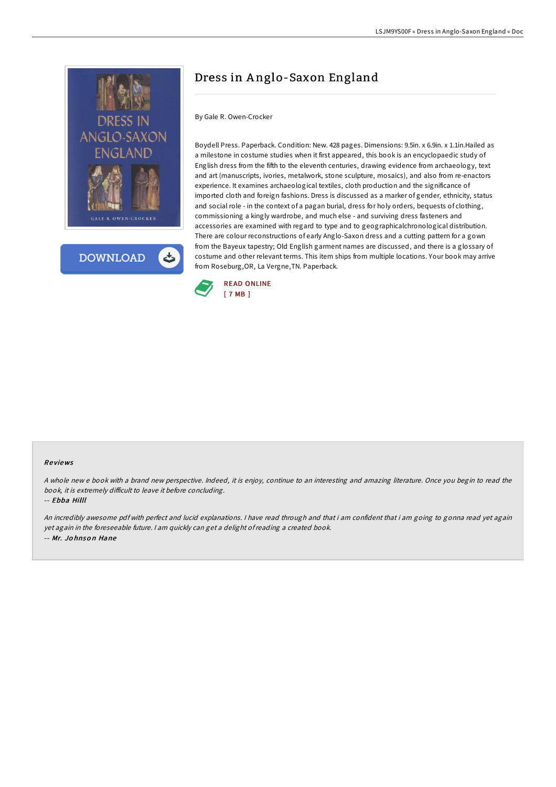



# Dress in A nglo-Saxon England

### By Gale R. Owen-Crocker

Boydell Press. Paperback. Condition: New. 428 pages. Dimensions: 9.5in. x 6.9in. x 1.1in.Hailed as a milestone in costume studies when it first appeared, this book is an encyclopaedic study of English dress from the fifth to the eleventh centuries, drawing evidence from archaeology, text and art (manuscripts, ivories, metalwork, stone sculpture, mosaics), and also from re-enactors experience. It examines archaeological textiles, cloth production and the significance of imported cloth and foreign fashions. Dress is discussed as a marker of gender, ethnicity, status and social role - in the context of a pagan burial, dress for holy orders, bequests of clothing, commissioning a kingly wardrobe, and much else - and surviving dress fasteners and accessories are examined with regard to type and to geographicalchronological distribution. There are colour reconstructions of early Anglo-Saxon dress and a cutting pattern for a gown from the Bayeux tapestry; Old English garment names are discussed, and there is a glossary of costume and other relevant terms. This item ships from multiple locations. Your book may arrive from Roseburg,OR, La Vergne,TN. Paperback.



### Re views

A whole new <sup>e</sup> book with <sup>a</sup> brand new perspective. Indeed, it is enjoy, continue to an interesting and amazing literature. Once you begin to read the book, it is extremely difficult to leave it before concluding.

#### -- Ebba Hilll

An incredibly awesome pdf with perfect and lucid explanations. <sup>I</sup> have read through and that i am confident that i am going to gonna read yet again yet again in the foreseeable future. <sup>I</sup> am quickly can get <sup>a</sup> delight ofreading <sup>a</sup> created book. -- Mr. Jo hnso <sup>n</sup> Hane